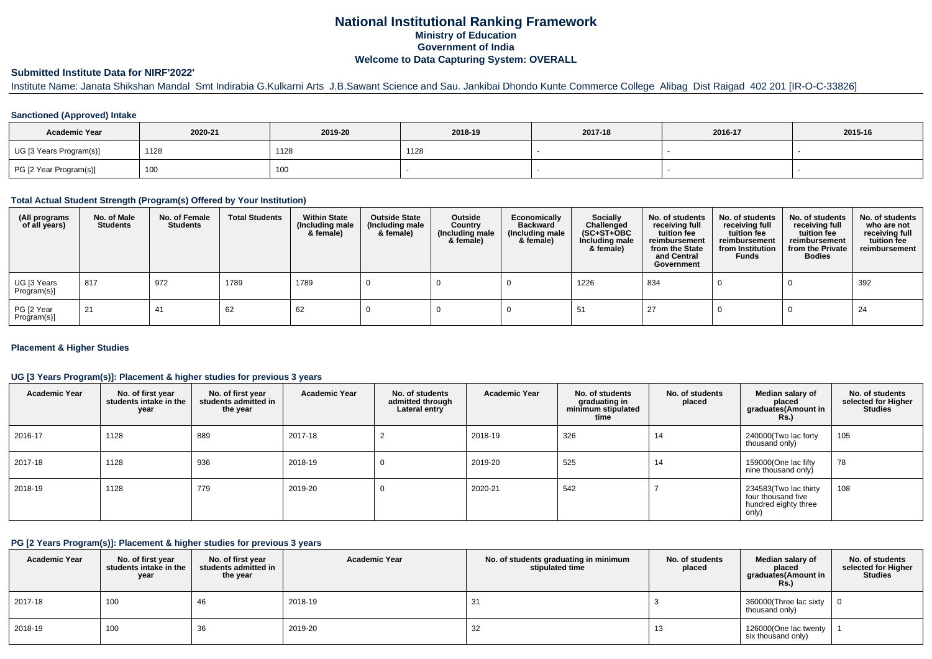# **National Institutional Ranking FrameworkMinistry of Education Government of IndiaWelcome to Data Capturing System: OVERALL**

#### **Submitted Institute Data for NIRF'2022'**

Institute Name: Janata Shikshan Mandal Smt Indirabia G.Kulkarni Arts J.B.Sawant Science and Sau. Jankibai Dhondo Kunte Commerce College Alibag Dist Raigad 402 201 [IR-O-C-33826]

#### **Sanctioned (Approved) Intake**

| <b>Academic Year</b>    | 2020-21           | 2019-20 | 2018-19 | 2017-18 | 2016-17 | 2015-16 |
|-------------------------|-------------------|---------|---------|---------|---------|---------|
| UG [3 Years Program(s)] | 1128              | 1128    | 1128    |         |         |         |
| PG [2 Year Program(s)]  | 100<br><b>IUU</b> | 100     |         |         |         |         |

#### **Total Actual Student Strength (Program(s) Offered by Your Institution)**

| (All programs<br>of all years) | No. of Male<br><b>Students</b> | No. of Female<br>Students | <b>Total Students</b> | <b>Within State</b><br>(Including male<br>& female) | <b>Outside State</b><br>(Including male<br>& female) | Outside<br>Country<br>(Including male<br>& female) | Economically<br><b>Backward</b><br>(Including male<br>& female) | <b>Socially</b><br>Challenged<br>$(SC+ST+OBC)$<br>Including male<br>& female) | No. of students<br>receiving full<br>tuition fee<br>reimbursement<br>from the State<br>and Central<br>Government | No. of students<br>receiving full<br>tuition fee<br>reimbursement<br>from Institution<br><b>Funds</b> | No. of students<br>receiving full<br>tuition fee<br>reimbursement<br>from the Private<br><b>Bodies</b> | No. of students<br>who are not<br>receiving full<br>tuition fee<br>reimbursement |
|--------------------------------|--------------------------------|---------------------------|-----------------------|-----------------------------------------------------|------------------------------------------------------|----------------------------------------------------|-----------------------------------------------------------------|-------------------------------------------------------------------------------|------------------------------------------------------------------------------------------------------------------|-------------------------------------------------------------------------------------------------------|--------------------------------------------------------------------------------------------------------|----------------------------------------------------------------------------------|
| UG [3 Years<br>Program(s)]     | 817                            | 972                       | 1789                  | 1789                                                |                                                      |                                                    |                                                                 | 1226                                                                          | 834                                                                                                              |                                                                                                       |                                                                                                        | 392                                                                              |
| PG [2 Year<br>Program(s)]      | 21                             | 41                        | 62                    | 62                                                  |                                                      |                                                    |                                                                 | -51                                                                           | -27                                                                                                              |                                                                                                       |                                                                                                        | -24                                                                              |

#### **Placement & Higher Studies**

#### **UG [3 Years Program(s)]: Placement & higher studies for previous 3 years**

| <b>Academic Year</b> | No. of first year<br>students intake in the<br>year | No. of first year<br>students admitted in<br>the year | <b>Academic Year</b> | No. of students<br>admitted through<br>Lateral entry | <b>Academic Year</b> | No. of students<br>graduating in<br>minimum stipulated<br>time | No. of students<br>placed | Median salary of<br>placed<br>graduates(Amount in<br><b>Rs.)</b>             | No. of students<br>selected for Higher<br><b>Studies</b> |
|----------------------|-----------------------------------------------------|-------------------------------------------------------|----------------------|------------------------------------------------------|----------------------|----------------------------------------------------------------|---------------------------|------------------------------------------------------------------------------|----------------------------------------------------------|
| 2016-17              | 1128                                                | 889                                                   | 2017-18              |                                                      | 2018-19              | 326                                                            | 14                        | 240000(Two lac forty<br>thousand only)                                       | 105                                                      |
| 2017-18              | 1128                                                | 936                                                   | 2018-19              | 0                                                    | 2019-20              | 525                                                            | 14                        | 159000(One lac fifty<br>nine thousand only)                                  | 78                                                       |
| 2018-19              | 1128                                                | 779                                                   | 2019-20              | U                                                    | 2020-21              | 542                                                            |                           | 234583(Two lac thirty<br>four thousand five<br>hundred eighty three<br>only) | 108                                                      |

#### **PG [2 Years Program(s)]: Placement & higher studies for previous 3 years**

| <b>Academic Year</b> | No. of first year<br>students intake in the<br>year | No. of first year<br>students admitted in<br>the year | <b>Academic Year</b> | No. of students graduating in minimum<br>stipulated time | No. of students<br>placed | Median salary of<br>placed<br>graduates(Amount in<br><b>Rs.)</b> | No. of students<br>selected for Higher<br><b>Studies</b> |
|----------------------|-----------------------------------------------------|-------------------------------------------------------|----------------------|----------------------------------------------------------|---------------------------|------------------------------------------------------------------|----------------------------------------------------------|
| 2017-18              | 100                                                 | 46                                                    | 2018-19              | 31                                                       |                           | 360000(Three lac sixty<br>thousand only)                         |                                                          |
| 2018-19              | 100                                                 | 36                                                    | 2019-20              | 32                                                       | 13                        | 126000(One lac twenty<br>six thousand only)                      |                                                          |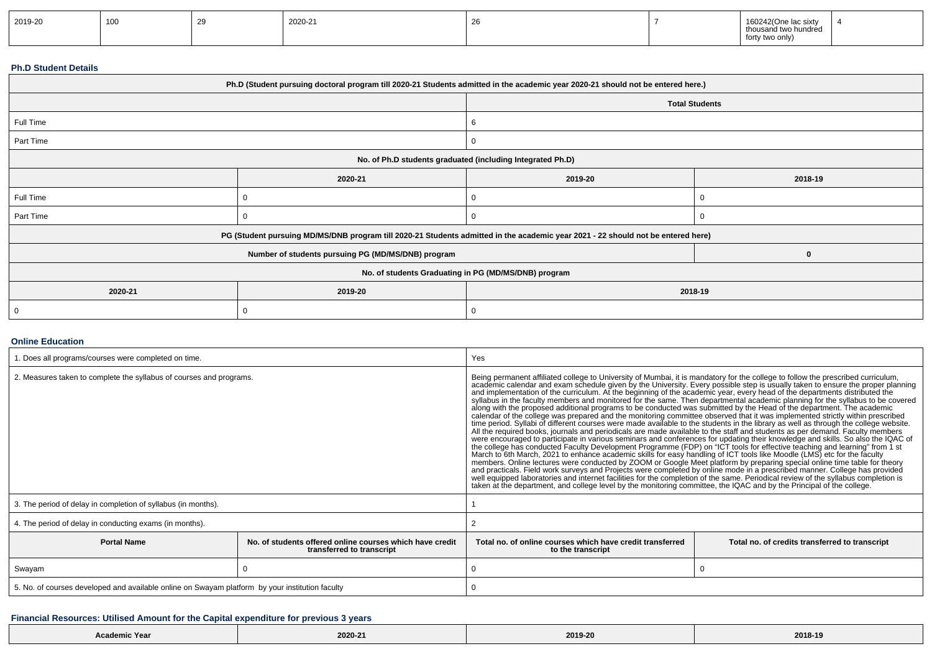| 2019-20 | 100 |  | 2020-21 |  |  | 160242(One lac sixty<br>.<br>thousand two hundred<br>orty two only)<br><b>IUILY</b> |  |
|---------|-----|--|---------|--|--|-------------------------------------------------------------------------------------|--|
|---------|-----|--|---------|--|--|-------------------------------------------------------------------------------------|--|

#### **Ph.D Student Details**

| Ph.D (Student pursuing doctoral program till 2020-21 Students admitted in the academic year 2020-21 should not be entered here.) |                                                                                                                                  |                       |         |  |  |  |
|----------------------------------------------------------------------------------------------------------------------------------|----------------------------------------------------------------------------------------------------------------------------------|-----------------------|---------|--|--|--|
|                                                                                                                                  |                                                                                                                                  | <b>Total Students</b> |         |  |  |  |
| Full Time                                                                                                                        |                                                                                                                                  | 6                     |         |  |  |  |
| Part Time                                                                                                                        |                                                                                                                                  | 0                     |         |  |  |  |
| No. of Ph.D students graduated (including Integrated Ph.D)                                                                       |                                                                                                                                  |                       |         |  |  |  |
|                                                                                                                                  | 2019-20<br>2020-21                                                                                                               |                       | 2018-19 |  |  |  |
| Full Time                                                                                                                        | 0                                                                                                                                | υ                     |         |  |  |  |
| Part Time                                                                                                                        |                                                                                                                                  | 0                     |         |  |  |  |
|                                                                                                                                  | PG (Student pursuing MD/MS/DNB program till 2020-21 Students admitted in the academic year 2021 - 22 should not be entered here) |                       |         |  |  |  |
|                                                                                                                                  | Number of students pursuing PG (MD/MS/DNB) program                                                                               |                       | 0       |  |  |  |
| No. of students Graduating in PG (MD/MS/DNB) program                                                                             |                                                                                                                                  |                       |         |  |  |  |
| 2020-21                                                                                                                          | 2019-20                                                                                                                          | 2018-19               |         |  |  |  |
|                                                                                                                                  |                                                                                                                                  | 0                     |         |  |  |  |

#### **Online Education**

| . Does all programs/courses were completed on time.                                                         |  | Yes                                                                                                                                                                                                                                                                                                                                                                                                                                                                                                                                                                                                                                                                                                                                                                                                                                                                                                                                                                                                                                                                                                                                                                                                                                                                                                                                                                                                                                                                                                                                                                                                                                                                                                                     |                                                                                                                                                                                                                                                                   |  |  |
|-------------------------------------------------------------------------------------------------------------|--|-------------------------------------------------------------------------------------------------------------------------------------------------------------------------------------------------------------------------------------------------------------------------------------------------------------------------------------------------------------------------------------------------------------------------------------------------------------------------------------------------------------------------------------------------------------------------------------------------------------------------------------------------------------------------------------------------------------------------------------------------------------------------------------------------------------------------------------------------------------------------------------------------------------------------------------------------------------------------------------------------------------------------------------------------------------------------------------------------------------------------------------------------------------------------------------------------------------------------------------------------------------------------------------------------------------------------------------------------------------------------------------------------------------------------------------------------------------------------------------------------------------------------------------------------------------------------------------------------------------------------------------------------------------------------------------------------------------------------|-------------------------------------------------------------------------------------------------------------------------------------------------------------------------------------------------------------------------------------------------------------------|--|--|
| 2. Measures taken to complete the syllabus of courses and programs.                                         |  | Being permanent affiliated college to University of Mumbai, it is mandatory for the college to follow the prescribed curriculum,<br>and implementation of the curriculum. At the beginning of the academic year, every head of the departments distributed the<br>along with the proposed additional programs to be conducted was submitted by the Head of the department. The academic<br>calendar of the college was prepared and the monitoring committee observed that it was implemented strictly within prescribed<br>time period. Syllabi of different courses were made available to the students in the library as well as through the college website.<br>All the required books, journals and periodicals are made available to the staff and students as per demand. Faculty members<br>were encouraged to participate in various seminars and conferences for updating their knowledge and skills. So also the IQAC of<br>the college has conducted Faculty Development Programme (FDP) on "ICT tools for effective teaching and learning" from 1 st<br>March to 6th March, 2021 to enhance academic skills for easy handling of ICT tools like Moodle (LMS) etc for the faculty<br>members. Online lectures were conducted by ZOOM or Google Meet platform by preparing special online time table for theory<br>and practicals. Field work surveys and Projects were completed by online mode in a prescribed manner. College has provided<br>well equipped laboratories and internet facilities for the completion of the same. Periodical review of the syllabus completion is<br>taken at the department, and college level by the monitoring committee, the IQAC and by the Principal of the college. | academic calendar and exam schedule given by the University. Every possible step is usually taken to ensure the proper planning<br>syllabus in the faculty members and monitored for the same. Then departmental academic planning for the syllabus to be covered |  |  |
| 3. The period of delay in completion of syllabus (in months).                                               |  |                                                                                                                                                                                                                                                                                                                                                                                                                                                                                                                                                                                                                                                                                                                                                                                                                                                                                                                                                                                                                                                                                                                                                                                                                                                                                                                                                                                                                                                                                                                                                                                                                                                                                                                         |                                                                                                                                                                                                                                                                   |  |  |
| 4. The period of delay in conducting exams (in months).                                                     |  |                                                                                                                                                                                                                                                                                                                                                                                                                                                                                                                                                                                                                                                                                                                                                                                                                                                                                                                                                                                                                                                                                                                                                                                                                                                                                                                                                                                                                                                                                                                                                                                                                                                                                                                         |                                                                                                                                                                                                                                                                   |  |  |
| No, of students offered online courses which have credit<br><b>Portal Name</b><br>transferred to transcript |  | Total no. of online courses which have credit transferred<br>to the transcript                                                                                                                                                                                                                                                                                                                                                                                                                                                                                                                                                                                                                                                                                                                                                                                                                                                                                                                                                                                                                                                                                                                                                                                                                                                                                                                                                                                                                                                                                                                                                                                                                                          | Total no. of credits transferred to transcript                                                                                                                                                                                                                    |  |  |
| Swayam                                                                                                      |  |                                                                                                                                                                                                                                                                                                                                                                                                                                                                                                                                                                                                                                                                                                                                                                                                                                                                                                                                                                                                                                                                                                                                                                                                                                                                                                                                                                                                                                                                                                                                                                                                                                                                                                                         |                                                                                                                                                                                                                                                                   |  |  |
| 5. No. of courses developed and available online on Swayam platform by your institution faculty             |  |                                                                                                                                                                                                                                                                                                                                                                                                                                                                                                                                                                                                                                                                                                                                                                                                                                                                                                                                                                                                                                                                                                                                                                                                                                                                                                                                                                                                                                                                                                                                                                                                                                                                                                                         |                                                                                                                                                                                                                                                                   |  |  |

## **Financial Resources: Utilised Amount for the Capital expenditure for previous 3 years**

| Academic Year | 2020-21<br>the contract of the contract of | 2019-20<br>$\sim$ $\sim$ $\sim$ $\sim$ | 2018-1<br>$\sim$ $\sim$ $\sim$ $\sim$ |
|---------------|--------------------------------------------|----------------------------------------|---------------------------------------|
|---------------|--------------------------------------------|----------------------------------------|---------------------------------------|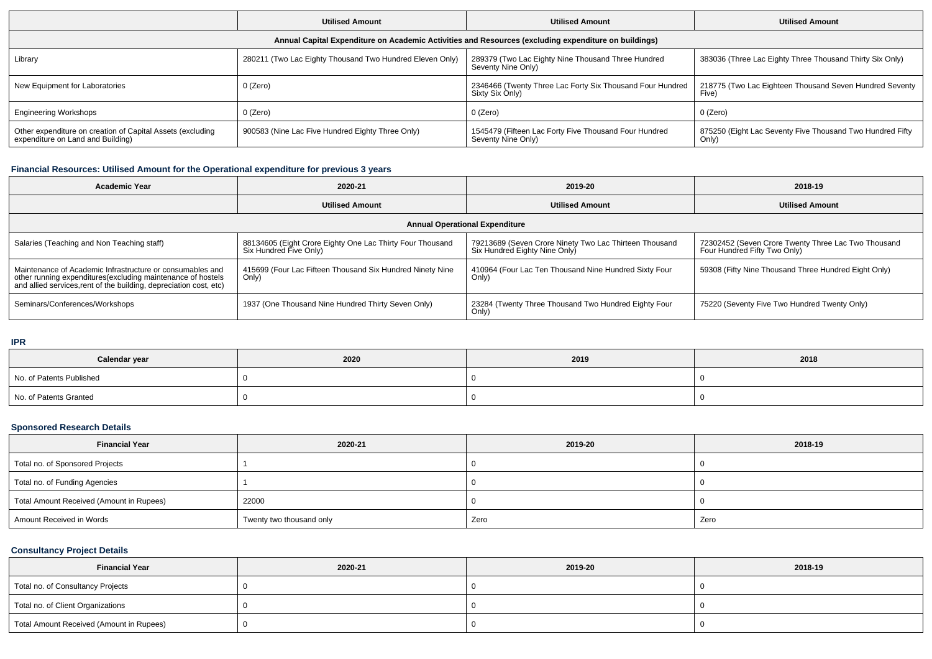|                                                                                                      | <b>Utilised Amount</b>                                   | <b>Utilised Amount</b>                                                       | <b>Utilised Amount</b>                                             |  |  |  |  |  |  |
|------------------------------------------------------------------------------------------------------|----------------------------------------------------------|------------------------------------------------------------------------------|--------------------------------------------------------------------|--|--|--|--|--|--|
| Annual Capital Expenditure on Academic Activities and Resources (excluding expenditure on buildings) |                                                          |                                                                              |                                                                    |  |  |  |  |  |  |
| Library                                                                                              | 280211 (Two Lac Eighty Thousand Two Hundred Eleven Only) | 289379 (Two Lac Eighty Nine Thousand Three Hundred<br>Seventy Nine Only)     | 383036 (Three Lac Eighty Three Thousand Thirty Six Only)           |  |  |  |  |  |  |
| New Equipment for Laboratories                                                                       | 0 (Zero)                                                 | 2346466 (Twenty Three Lac Forty Six Thousand Four Hundred<br>Sixty Six Only) | 218775 (Two Lac Eighteen Thousand Seven Hundred Seventy<br>Five)   |  |  |  |  |  |  |
| <b>Engineering Workshops</b>                                                                         | $0$ (Zero)                                               | $0$ (Zero)                                                                   | 0 (Zero)                                                           |  |  |  |  |  |  |
| Other expenditure on creation of Capital Assets (excluding<br>expenditure on Land and Building)      | 900583 (Nine Lac Five Hundred Eighty Three Only)         | 1545479 (Fifteen Lac Forty Five Thousand Four Hundred<br>Seventy Nine Only)  | 875250 (Eight Lac Seventy Five Thousand Two Hundred Fifty<br>Only) |  |  |  |  |  |  |

## **Financial Resources: Utilised Amount for the Operational expenditure for previous 3 years**

| <b>Academic Year</b>                                                                                                                                                                           | 2020-21                                                                             | 2019-20                                                                                 | 2018-19                                                                             |  |  |  |  |  |
|------------------------------------------------------------------------------------------------------------------------------------------------------------------------------------------------|-------------------------------------------------------------------------------------|-----------------------------------------------------------------------------------------|-------------------------------------------------------------------------------------|--|--|--|--|--|
|                                                                                                                                                                                                | <b>Utilised Amount</b>                                                              | <b>Utilised Amount</b>                                                                  | <b>Utilised Amount</b>                                                              |  |  |  |  |  |
| <b>Annual Operational Expenditure</b>                                                                                                                                                          |                                                                                     |                                                                                         |                                                                                     |  |  |  |  |  |
| Salaries (Teaching and Non Teaching staff)                                                                                                                                                     | 88134605 (Eight Crore Eighty One Lac Thirty Four Thousand<br>Six Hundred Five Only) | 79213689 (Seven Crore Ninety Two Lac Thirteen Thousand<br>Six Hundred Eighty Nine Only) | 72302452 (Seven Crore Twenty Three Lac Two Thousand<br>Four Hundred Fifty Two Only) |  |  |  |  |  |
| Maintenance of Academic Infrastructure or consumables and<br>other running expenditures(excluding maintenance of hostels<br>and allied services, rent of the building, depreciation cost, etc) | 415699 (Four Lac Fifteen Thousand Six Hundred Ninety Nine<br>Only)                  | 410964 (Four Lac Ten Thousand Nine Hundred Sixty Four<br>Only)                          | 59308 (Fifty Nine Thousand Three Hundred Eight Only)                                |  |  |  |  |  |
| Seminars/Conferences/Workshops                                                                                                                                                                 | 1937 (One Thousand Nine Hundred Thirty Seven Only)                                  | 23284 (Twenty Three Thousand Two Hundred Eighty Four<br>Only)                           | 75220 (Seventy Five Two Hundred Twenty Only)                                        |  |  |  |  |  |

## **IPR**

| Calendar year            | 2020 | 2019 | 2018 |
|--------------------------|------|------|------|
| No. of Patents Published |      |      |      |
| No. of Patents Granted   |      |      |      |

## **Sponsored Research Details**

| <b>Financial Year</b>                    | 2020-21                  | 2019-20 | 2018-19 |
|------------------------------------------|--------------------------|---------|---------|
| Total no. of Sponsored Projects          |                          |         |         |
| Total no. of Funding Agencies            |                          |         |         |
| Total Amount Received (Amount in Rupees) | 22000                    |         |         |
| Amount Received in Words                 | Twenty two thousand only | Zero    | Zero    |

## **Consultancy Project Details**

| <b>Financial Year</b>                    | 2020-21 | 2019-20 | 2018-19 |
|------------------------------------------|---------|---------|---------|
| Total no. of Consultancy Projects        |         |         |         |
| Total no. of Client Organizations        |         |         |         |
| Total Amount Received (Amount in Rupees) |         |         |         |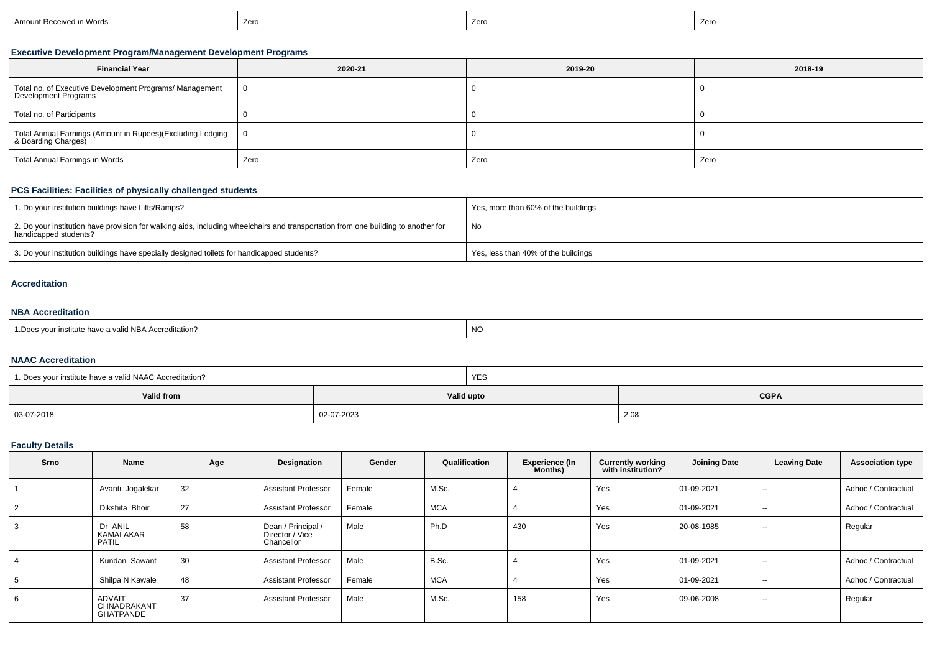|  | ceived in Words <sup>.</sup><br>Am<br>ıount Rec | $70$ r | . Zerc | Zerc |
|--|-------------------------------------------------|--------|--------|------|
|--|-------------------------------------------------|--------|--------|------|

## **Executive Development Program/Management Development Programs**

| <b>Financial Year</b>                                                             | 2020-21        | 2019-20 | 2018-19 |
|-----------------------------------------------------------------------------------|----------------|---------|---------|
| Total no. of Executive Development Programs/ Management<br>Development Programs   | $\overline{0}$ |         |         |
| Total no. of Participants                                                         |                |         |         |
| Total Annual Earnings (Amount in Rupees)(Excluding Lodging<br>& Boarding Charges) | - 0            |         |         |
| Total Annual Earnings in Words                                                    | Zero           | Zero    | Zero    |

## **PCS Facilities: Facilities of physically challenged students**

| 1. Do your institution buildings have Lifts/Ramps?                                                                                                         | Yes, more than 60% of the buildings |
|------------------------------------------------------------------------------------------------------------------------------------------------------------|-------------------------------------|
| 2. Do your institution have provision for walking aids, including wheelchairs and transportation from one building to another for<br>handicapped students? | No                                  |
| 3. Do your institution buildings have specially designed toilets for handicapped students?                                                                 | Yes, less than 40% of the buildings |

#### **Accreditation**

#### **NBA Accreditation**

| NC<br>1. Does your institute have a valid NBA Accreditation? |  |
|--------------------------------------------------------------|--|
|--------------------------------------------------------------|--|

## **NAAC Accreditation**

| <sup>1</sup> 1. Does your institute have a valid NAAC Accreditation? |            | <b>YES</b> |             |
|----------------------------------------------------------------------|------------|------------|-------------|
| <b>Valid from</b>                                                    |            | Valid upto | <b>CGPA</b> |
| 03-07-2018                                                           | 02-07-2023 |            | 2.08        |

## **Faculty Details**

| Srno | Name                                      | Age | Designation                                         | Gender | Qualification | <b>Experience (In</b><br>Months) | <b>Currently working</b><br>with institution? | <b>Joining Date</b> | <b>Leaving Date</b>      | <b>Association type</b> |
|------|-------------------------------------------|-----|-----------------------------------------------------|--------|---------------|----------------------------------|-----------------------------------------------|---------------------|--------------------------|-------------------------|
|      | Avanti Jogalekar                          | 32  | <b>Assistant Professor</b>                          | Female | M.Sc.         |                                  | Yes                                           | 01-09-2021          | $\sim$                   | Adhoc / Contractual     |
|      | Dikshita Bhoir                            | 27  | <b>Assistant Professor</b>                          | Female | <b>MCA</b>    |                                  | Yes                                           | 01-09-2021          | $\overline{\phantom{a}}$ | Adhoc / Contractual     |
| 3    | Dr ANIL<br>KAMALAKAR<br><b>PATIL</b>      | 58  | Dean / Principal /<br>Director / Vice<br>Chancellor | Male   | Ph.D          | 430                              | Yes                                           | 20-08-1985          | $\overline{\phantom{a}}$ | Regular                 |
|      | Kundan Sawant                             | 30  | <b>Assistant Professor</b>                          | Male   | B.Sc.         |                                  | Yes                                           | 01-09-2021          | $\overline{\phantom{a}}$ | Adhoc / Contractual     |
| .5   | Shilpa N Kawale                           | 48  | <b>Assistant Professor</b>                          | Female | <b>MCA</b>    |                                  | Yes                                           | 01-09-2021          | $\overline{\phantom{a}}$ | Adhoc / Contractual     |
| 6    | ADVAIT<br>CHNADRAKANT<br><b>GHATPANDE</b> | 37  | <b>Assistant Professor</b>                          | Male   | M.Sc.         | 158                              | Yes                                           | 09-06-2008          | $- -$                    | Regular                 |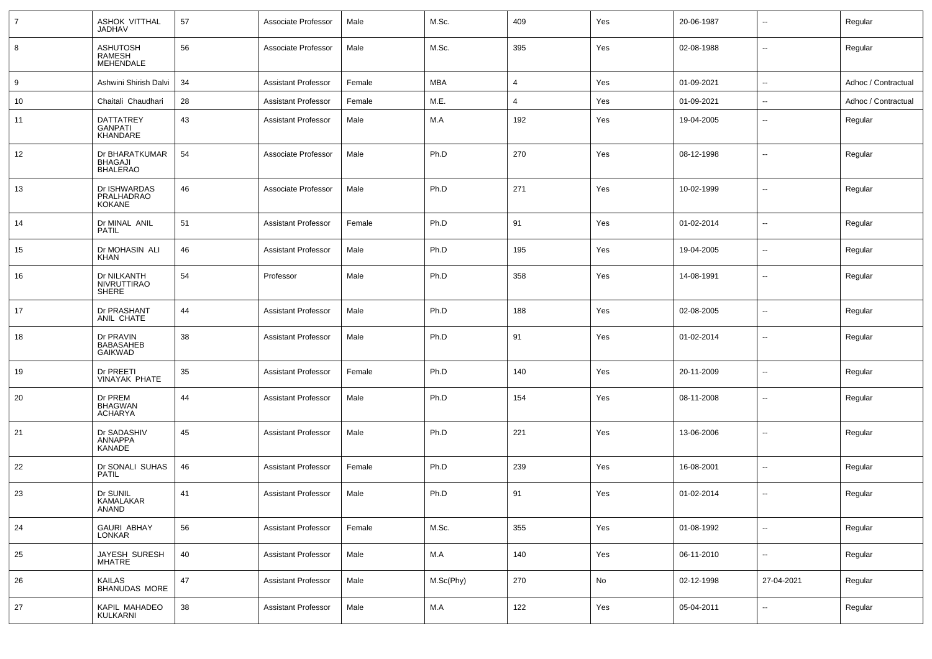| $\overline{7}$ | ASHOK VITTHAL<br><b>JADHAV</b>                      | 57 | Associate Professor        | Male   | M.Sc.      | 409 | Yes | 20-06-1987 | --                       | Regular             |
|----------------|-----------------------------------------------------|----|----------------------------|--------|------------|-----|-----|------------|--------------------------|---------------------|
| 8              | <b>ASHUTOSH</b><br>RAMESH<br><b>MEHENDALE</b>       | 56 | Associate Professor        | Male   | M.Sc.      | 395 | Yes | 02-08-1988 | $\overline{\phantom{a}}$ | Regular             |
| 9              | Ashwini Shirish Dalvi                               | 34 | <b>Assistant Professor</b> | Female | <b>MBA</b> | 4   | Yes | 01-09-2021 | ⊷.                       | Adhoc / Contractual |
| 10             | Chaitali Chaudhari                                  | 28 | <b>Assistant Professor</b> | Female | M.E.       | 4   | Yes | 01-09-2021 | --                       | Adhoc / Contractual |
| 11             | DATTATREY<br><b>GANPATI</b><br>KHANDARE             | 43 | <b>Assistant Professor</b> | Male   | M.A        | 192 | Yes | 19-04-2005 | --                       | Regular             |
| 12             | Dr BHARATKUMAR<br><b>BHAGAJI</b><br><b>BHALERAO</b> | 54 | Associate Professor        | Male   | Ph.D       | 270 | Yes | 08-12-1998 | --                       | Regular             |
| 13             | Dr ISHWARDAS<br>PRALHADRAO<br><b>KOKANE</b>         | 46 | Associate Professor        | Male   | Ph.D       | 271 | Yes | 10-02-1999 | $\overline{\phantom{a}}$ | Regular             |
| 14             | Dr MINAL ANIL<br><b>PATIL</b>                       | 51 | <b>Assistant Professor</b> | Female | Ph.D       | 91  | Yes | 01-02-2014 | ⊶.                       | Regular             |
| 15             | Dr MOHASIN ALI<br><b>KHAN</b>                       | 46 | <b>Assistant Professor</b> | Male   | Ph.D       | 195 | Yes | 19-04-2005 | $\overline{\phantom{a}}$ | Regular             |
| 16             | Dr NILKANTH<br><b>NIVRUTTIRAO</b><br>SHERE          | 54 | Professor                  | Male   | Ph.D       | 358 | Yes | 14-08-1991 | ⊶.                       | Regular             |
| 17             | Dr PRASHANT<br>ANIL CHATE                           | 44 | <b>Assistant Professor</b> | Male   | Ph.D       | 188 | Yes | 02-08-2005 | --                       | Regular             |
| 18             | Dr PRAVIN<br><b>BABASAHEB</b><br>GAIKWAD            | 38 | <b>Assistant Professor</b> | Male   | Ph.D       | 91  | Yes | 01-02-2014 | $\overline{\phantom{a}}$ | Regular             |
| 19             | Dr PREETI<br><b>VINAYAK PHATE</b>                   | 35 | <b>Assistant Professor</b> | Female | Ph.D       | 140 | Yes | 20-11-2009 | $\overline{\phantom{a}}$ | Regular             |
| 20             | Dr PREM<br><b>BHAGWAN</b><br><b>ACHARYA</b>         | 44 | <b>Assistant Professor</b> | Male   | Ph.D       | 154 | Yes | 08-11-2008 | ۵.                       | Regular             |
| 21             | Dr SADASHIV<br>ANNAPPA<br>KANADE                    | 45 | <b>Assistant Professor</b> | Male   | Ph.D       | 221 | Yes | 13-06-2006 | --                       | Regular             |
| 22             | Dr SONALI SUHAS<br><b>PATIL</b>                     | 46 | <b>Assistant Professor</b> | Female | Ph.D       | 239 | Yes | 16-08-2001 | --                       | Regular             |
| 23             | Dr SUNIL<br>KAMALAKAR<br>ANAND                      | 41 | <b>Assistant Professor</b> | Male   | Ph.D       | 91  | Yes | 01-02-2014 | --                       | Regular             |
| 24             | <b>GAURI ABHAY</b><br>LONKAR                        | 56 | <b>Assistant Professor</b> | Female | M.Sc.      | 355 | Yes | 01-08-1992 | $\overline{\phantom{a}}$ | Regular             |
| 25             | JAYESH SURESH<br>MHATRE                             | 40 | <b>Assistant Professor</b> | Male   | M.A        | 140 | Yes | 06-11-2010 | н,                       | Regular             |
| 26             | KAILAS<br>BHANUDAS MORE                             | 47 | <b>Assistant Professor</b> | Male   | M.Sc(Phy)  | 270 | No  | 02-12-1998 | 27-04-2021               | Regular             |
| 27             | KAPIL MAHADEO<br>KULKARNI                           | 38 | <b>Assistant Professor</b> | Male   | M.A        | 122 | Yes | 05-04-2011 | ⊷                        | Regular             |